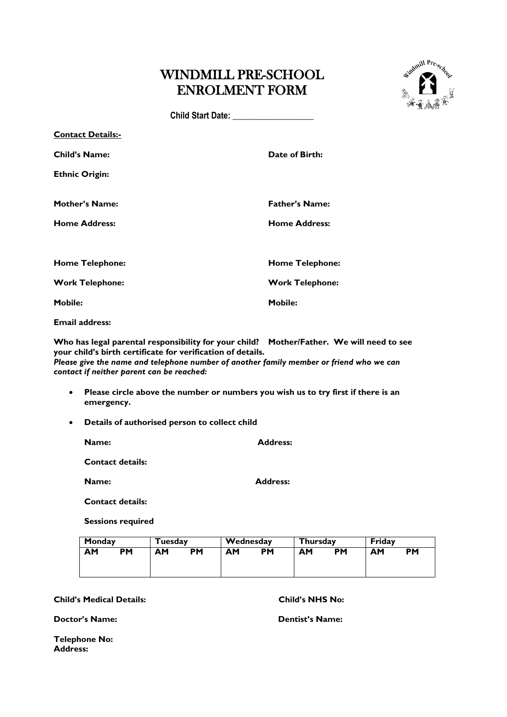## WINDMILL PRE-SCHOOL ENROLMENT FORM



**Child Start Date: \_\_\_\_\_\_\_\_\_\_\_\_\_\_\_\_\_\_\_** 

| <b>Contact Details:-</b> |                        |
|--------------------------|------------------------|
| <b>Child's Name:</b>     | Date of Birth:         |
| <b>Ethnic Origin:</b>    |                        |
| <b>Mother's Name:</b>    | <b>Father's Name:</b>  |
| <b>Home Address:</b>     | <b>Home Address:</b>   |
|                          |                        |
| <b>Home Telephone:</b>   | <b>Home Telephone:</b> |
| <b>Work Telephone:</b>   | <b>Work Telephone:</b> |
| <b>Mobile:</b>           | <b>Mobile:</b>         |
|                          |                        |

**Email address:**

**Who has legal parental responsibility for your child? Mother/Father. We will need to see your child's birth certificate for verification of details.**

*Please give the name and telephone number of another family member or friend who we can contact if neither parent can be reached:*

- **Please circle above the number or numbers you wish us to try first if there is an emergency.**
- **Details of authorised person to collect child**

| <b>Name:</b>            | <b>Address:</b> |
|-------------------------|-----------------|
| <b>Contact details:</b> |                 |
| <b>Name:</b>            | <b>Address:</b> |

**Contact details:**

**Sessions required**

| Monday |    | Tuesdav |           | Wednesday |           | <b>Thursday</b> |           | Fridav |    |
|--------|----|---------|-----------|-----------|-----------|-----------------|-----------|--------|----|
| ΑМ     | РM | AΜ      | <b>PM</b> | ΑМ        | <b>PM</b> | AΜ              | <b>PM</b> | AM     | PM |
|        |    |         |           |           |           |                 |           |        |    |

**Child's Medical Details: Child's NHS No:**

**Doctor's Name: Dentist's Name:**

**Telephone No: Address:**